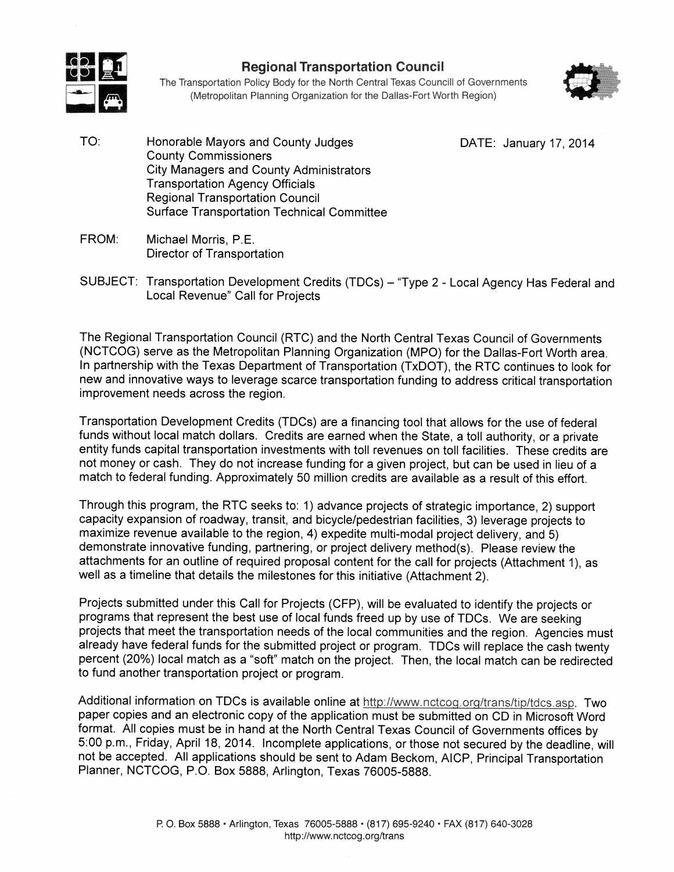

## **Regional Transportation Council**

The Transportation Policy Body for the North Central Texas Councill of Governments (Metropolitan Planning Organization for the Dallas-Fort Worth Region)



TO: Honorable Mayors and County Judges **County Commissioners City Managers and County Administrators Transportation Agency Officials Regional Transportation Council Surface Transportation Technical Committee**  DATE: January 17, 2014

- FROM: Michael Morris, P.E. Director of Transportation
- SUBJECT: Transportation Development Credits (TDCs) "Type 2 Local Agency Has Federal and Local Revenue" Call for Projects

The Regional Transportation Council (RTC) and the North Central Texas Council of Governments (NCTCOG) serve as the Metropolitan Planning Organization (MPO) for the Dallas-Fort Worth area. In partnership with the Texas Department of Transportation (TxDOT), the RTC continues to look for new and innovative ways to leverage scarce transportation funding to address critical transportation improvement needs across the region.

Transportation Development Credits (TDCs) are a financing tool that allows for the use of federal funds without local match dollars. Credits are earned when the State, a toll authority, or a private entity funds capital transportation investments with toll revenues on toll facilities. These credits are not money or cash. They do not increase funding for a given project, but can be used in lieu of a match to federal funding. Approximately 50 million credits are available as a result of this effort.

Through this program, the RTC seeks to: 1) advance projects of strategic importance, 2) support capacity expansion of roadway, transit, and bicycle/pedestrian facilities, 3) leverage projects to maximize revenue available to the region, 4) expedite multi-modal project delivery, and 5) demonstrate innovative funding, partnering, or project delivery method(s). Please review the attachments for an outline of required proposal content for the call for projects (Attachment 1), as well as a timeline that details the milestones for this initiative (Attachment 2).

Projects submitted under this Call for Projects (CFP), will be evaluated to identify the projects or programs that represent the best use of local funds freed up by use of TDCs. We are seeking projects that meet the transportation needs of the local communities and the region. Agencies must already have federal funds for the submitted project or program. TDCs will replace the cash twenty percent (20%) local match as a "soft" match on the project. Then, the local match can be redirected to fund another transportation project or program.

Additional information on TDCs is available online at http://www.nctcog.org/trans/tip/tdcs.asp. Two paper copies and an electronic copy of the application must be submitted on CD in Microsoft Word format. All copies must be in hand at the North Central Texas Council of Governments offices by 5:00 p.m., Friday, April 18, 2014. Incomplete applications, or those not secured by the deadline, will not be accepted. All applications should be sent to Adam Beckom, AICP, Principal Transportation Planner, NCTCOG, P.O. Box 5888, Arlington, Texas 76005-5888.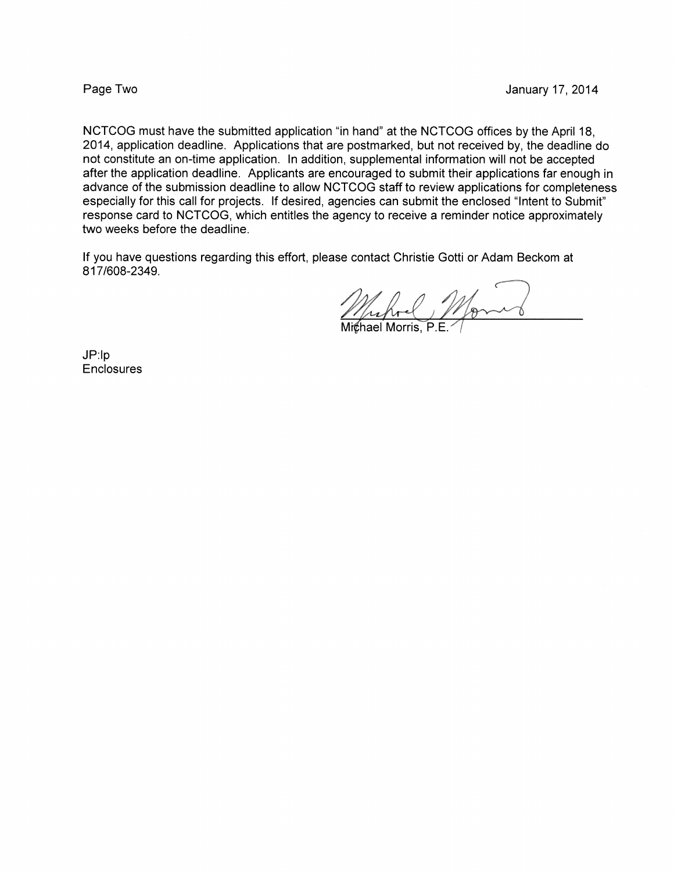### Page Two

NCTCOG must have the submitted application "in hand" at the NCTCOG offices by the April 18, 2014, application deadline. Applications that are postmarked, but not received by, the deadline do not constitute an on-time application. In addition, supplemental information will not be accepted after the application deadline. Applicants are encouraged to submit their applications far enough in advance of the submission deadline to allow NCTCOG staff to review applications for completeness especially for this call for projects. If desired, agencies can submit the enclosed "Intent to Submit" response card to NCTCOG, which entitles the agency to receive a reminder notice approximately two weeks before the deadline.

If you have questions regarding this effort, please contact Christie Gotti or Adam Beckom at 817/608-2349.

 $JP:lp$ Enclosures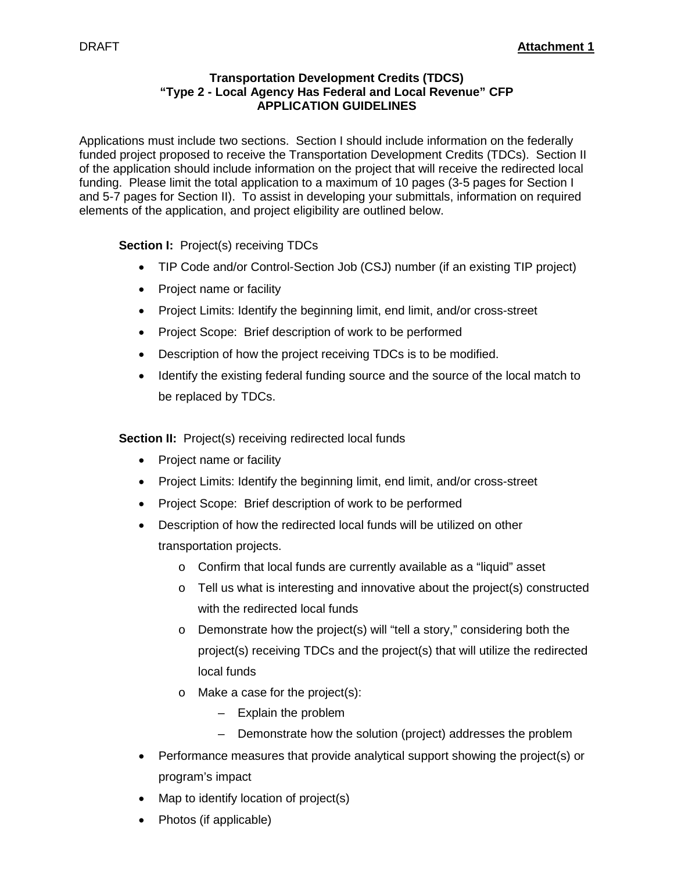## **Transportation Development Credits (TDCS) "Type 2 - Local Agency Has Federal and Local Revenue" CFP APPLICATION GUIDELINES**

Applications must include two sections. Section I should include information on the federally funded project proposed to receive the Transportation Development Credits (TDCs). Section II of the application should include information on the project that will receive the redirected local funding. Please limit the total application to a maximum of 10 pages (3-5 pages for Section I and 5-7 pages for Section II). To assist in developing your submittals, information on required elements of the application, and project eligibility are outlined below.

## **Section I: Project(s) receiving TDCs**

- TIP Code and/or Control-Section Job (CSJ) number (if an existing TIP project)
- Project name or facility
- Project Limits: Identify the beginning limit, end limit, and/or cross-street
- Project Scope: Brief description of work to be performed
- Description of how the project receiving TDCs is to be modified.
- Identify the existing federal funding source and the source of the local match to be replaced by TDCs.

**Section II:** Project(s) receiving redirected local funds

- Project name or facility
- Project Limits: Identify the beginning limit, end limit, and/or cross-street
- Project Scope: Brief description of work to be performed
- Description of how the redirected local funds will be utilized on other transportation projects.
	- o Confirm that local funds are currently available as a "liquid" asset
	- $\circ$  Tell us what is interesting and innovative about the project(s) constructed with the redirected local funds
	- o Demonstrate how the project(s) will "tell a story," considering both the project(s) receiving TDCs and the project(s) that will utilize the redirected local funds
	- o Make a case for the project(s):
		- Explain the problem
		- Demonstrate how the solution (project) addresses the problem
- Performance measures that provide analytical support showing the project(s) or program's impact
- Map to identify location of project(s)
- Photos (if applicable)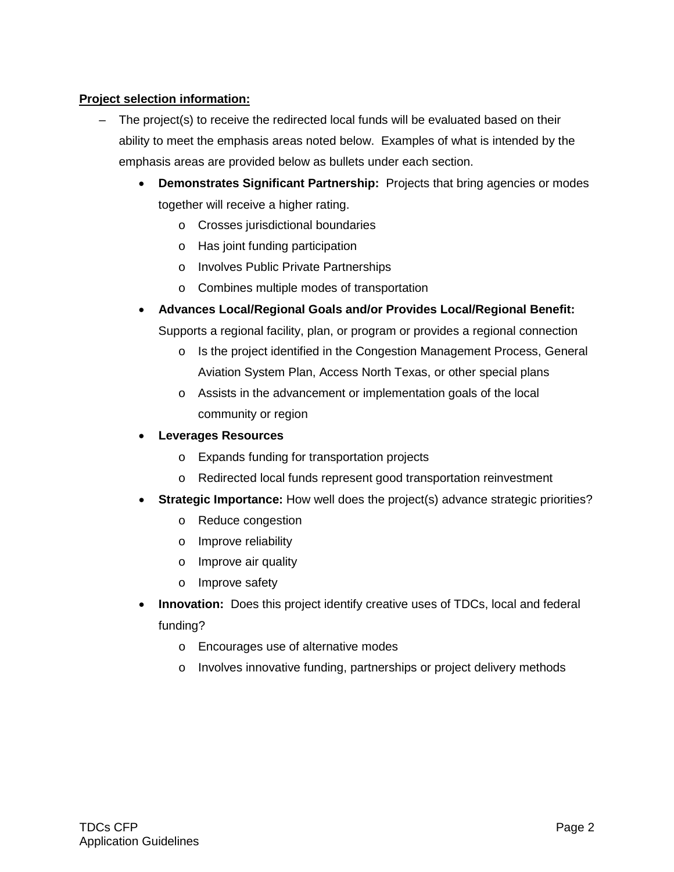## **Project selection information:**

- The project(s) to receive the redirected local funds will be evaluated based on their ability to meet the emphasis areas noted below. Examples of what is intended by the emphasis areas are provided below as bullets under each section.
	- **Demonstrates Significant Partnership:** Projects that bring agencies or modes together will receive a higher rating.
		- o Crosses jurisdictional boundaries
		- o Has joint funding participation
		- o Involves Public Private Partnerships
		- o Combines multiple modes of transportation
	- **Advances Local/Regional Goals and/or Provides Local/Regional Benefit:**  Supports a regional facility, plan, or program or provides a regional connection
		- o Is the project identified in the Congestion Management Process, General Aviation System Plan, Access North Texas, or other special plans
		- o Assists in the advancement or implementation goals of the local community or region
	- **Leverages Resources**
		- o Expands funding for transportation projects
		- o Redirected local funds represent good transportation reinvestment
	- **Strategic Importance:** How well does the project(s) advance strategic priorities?
		- o Reduce congestion
		- o Improve reliability
		- o Improve air quality
		- o Improve safety
	- **Innovation:** Does this project identify creative uses of TDCs, local and federal funding?
		- o Encourages use of alternative modes
		- o Involves innovative funding, partnerships or project delivery methods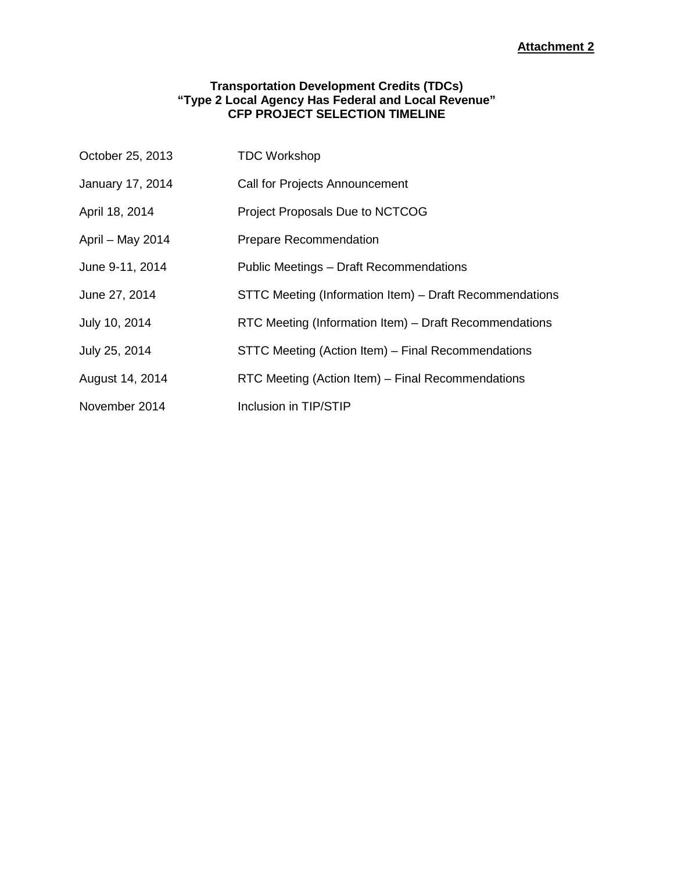## **Transportation Development Credits (TDCs) "Type 2 Local Agency Has Federal and Local Revenue" CFP PROJECT SELECTION TIMELINE**

| October 25, 2013 | <b>TDC Workshop</b>                                     |
|------------------|---------------------------------------------------------|
| January 17, 2014 | Call for Projects Announcement                          |
| April 18, 2014   | <b>Project Proposals Due to NCTCOG</b>                  |
| April - May 2014 | <b>Prepare Recommendation</b>                           |
| June 9-11, 2014  | Public Meetings - Draft Recommendations                 |
| June 27, 2014    | STTC Meeting (Information Item) – Draft Recommendations |
| July 10, 2014    | RTC Meeting (Information Item) - Draft Recommendations  |
| July 25, 2014    | STTC Meeting (Action Item) - Final Recommendations      |
| August 14, 2014  | RTC Meeting (Action Item) - Final Recommendations       |
| November 2014    | Inclusion in TIP/STIP                                   |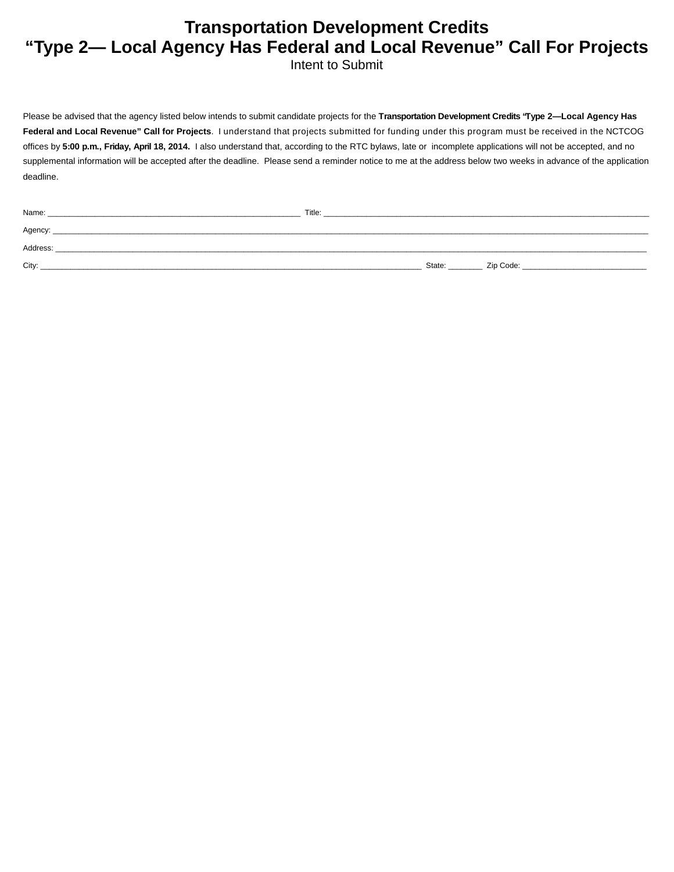# **Transportation Development Credits "Type 2— Local Agency Has Federal and Local Revenue" Call For Projects**

Intent to Submit

Please be advised that the agency listed below intends to submit candidate projects for the **Transportation Development Credits "Type 2—Local Agency Has Federal and Local Revenue" Call for Projects**. I understand that projects submitted for funding under this program must be received in the NCTCOG offices by **5:00 p.m., Friday, April 18, 2014.** I also understand that, according to the RTC bylaws, late or incomplete applications will not be accepted, and no supplemental information will be accepted after the deadline. Please send a reminder notice to me at the address below two weeks in advance of the application deadline.

| Name:    | Title: |        |           |
|----------|--------|--------|-----------|
| Agency:  |        |        |           |
| Address: |        |        |           |
| City:    |        | State: | Zip Code: |